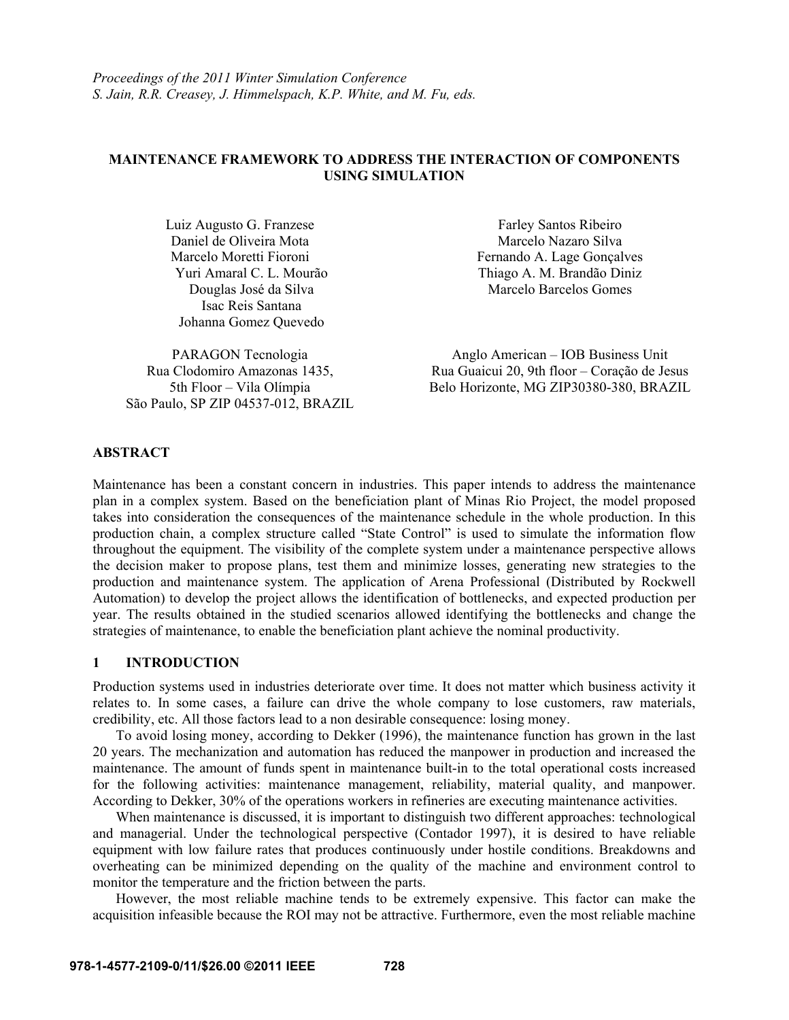# **MAINTENANCE FRAMEWORK TO ADDRESS THE INTERACTION OF COMPONENTS USING SIMULATION**

Luiz Augusto G. Franzese Daniel de Oliveira Mota Marcelo Moretti Fioroni Yuri Amaral C. L. Mourão Douglas José da Silva Isac Reis Santana Johanna Gomez Quevedo

Rua Clodomiro Amazonas 1435, 5th Floor – Vila Olímpia São Paulo, SP ZIP 04537-012, BRAZIL

Farley Santos Ribeiro Marcelo Nazaro Silva Fernando A. Lage Gonçalves Thiago A. M. Brandão Diniz Marcelo Barcelos Gomes

PARAGON Tecnologia Anglo American – IOB Business Unit Rua Guaicui 20, 9th floor – Coração de Jesus Belo Horizonte, MG ZIP30380-380, BRAZIL

# **ABSTRACT**

Maintenance has been a constant concern in industries. This paper intends to address the maintenance plan in a complex system. Based on the beneficiation plant of Minas Rio Project, the model proposed takes into consideration the consequences of the maintenance schedule in the whole production. In this production chain, a complex structure called "State Control" is used to simulate the information flow throughout the equipment. The visibility of the complete system under a maintenance perspective allows the decision maker to propose plans, test them and minimize losses, generating new strategies to the production and maintenance system. The application of Arena Professional (Distributed by Rockwell Automation) to develop the project allows the identification of bottlenecks, and expected production per year. The results obtained in the studied scenarios allowed identifying the bottlenecks and change the strategies of maintenance, to enable the beneficiation plant achieve the nominal productivity.

#### **1 INTRODUCTION**

Production systems used in industries deteriorate over time. It does not matter which business activity it relates to. In some cases, a failure can drive the whole company to lose customers, raw materials, credibility, etc. All those factors lead to a non desirable consequence: losing money.

To avoid losing money, according to Dekker (1996), the maintenance function has grown in the last 20 years. The mechanization and automation has reduced the manpower in production and increased the maintenance. The amount of funds spent in maintenance built-in to the total operational costs increased for the following activities: maintenance management, reliability, material quality, and manpower. According to Dekker, 30% of the operations workers in refineries are executing maintenance activities.

When maintenance is discussed, it is important to distinguish two different approaches: technological and managerial. Under the technological perspective (Contador 1997), it is desired to have reliable equipment with low failure rates that produces continuously under hostile conditions. Breakdowns and overheating can be minimized depending on the quality of the machine and environment control to monitor the temperature and the friction between the parts.

However, the most reliable machine tends to be extremely expensive. This factor can make the acquisition infeasible because the ROI may not be attractive. Furthermore, even the most reliable machine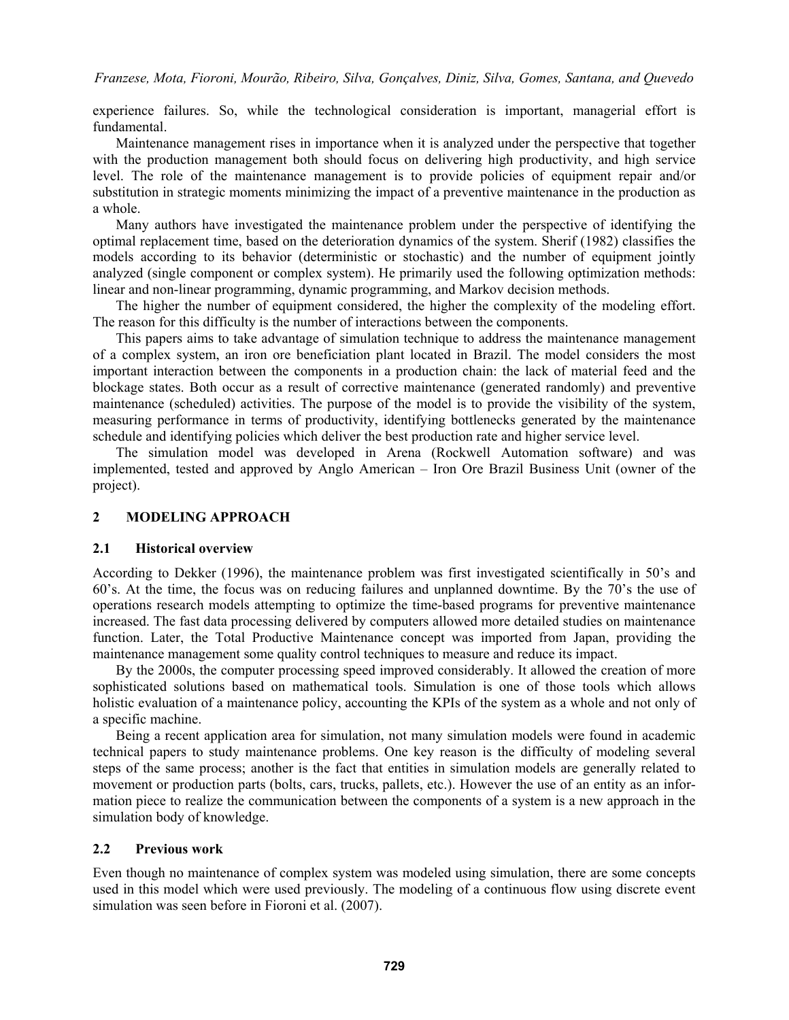experience failures. So, while the technological consideration is important, managerial effort is fundamental.

Maintenance management rises in importance when it is analyzed under the perspective that together with the production management both should focus on delivering high productivity, and high service level. The role of the maintenance management is to provide policies of equipment repair and/or substitution in strategic moments minimizing the impact of a preventive maintenance in the production as a whole.

Many authors have investigated the maintenance problem under the perspective of identifying the optimal replacement time, based on the deterioration dynamics of the system. Sherif (1982) classifies the models according to its behavior (deterministic or stochastic) and the number of equipment jointly analyzed (single component or complex system). He primarily used the following optimization methods: linear and non-linear programming, dynamic programming, and Markov decision methods.

The higher the number of equipment considered, the higher the complexity of the modeling effort. The reason for this difficulty is the number of interactions between the components.

This papers aims to take advantage of simulation technique to address the maintenance management of a complex system, an iron ore beneficiation plant located in Brazil. The model considers the most important interaction between the components in a production chain: the lack of material feed and the blockage states. Both occur as a result of corrective maintenance (generated randomly) and preventive maintenance (scheduled) activities. The purpose of the model is to provide the visibility of the system, measuring performance in terms of productivity, identifying bottlenecks generated by the maintenance schedule and identifying policies which deliver the best production rate and higher service level.

The simulation model was developed in Arena (Rockwell Automation software) and was implemented, tested and approved by Anglo American – Iron Ore Brazil Business Unit (owner of the project).

# **2 MODELING APPROACH**

#### **2.1 Historical overview**

According to Dekker (1996), the maintenance problem was first investigated scientifically in 50's and 60's. At the time, the focus was on reducing failures and unplanned downtime. By the 70's the use of operations research models attempting to optimize the time-based programs for preventive maintenance increased. The fast data processing delivered by computers allowed more detailed studies on maintenance function. Later, the Total Productive Maintenance concept was imported from Japan, providing the maintenance management some quality control techniques to measure and reduce its impact.

By the 2000s, the computer processing speed improved considerably. It allowed the creation of more sophisticated solutions based on mathematical tools. Simulation is one of those tools which allows holistic evaluation of a maintenance policy, accounting the KPIs of the system as a whole and not only of a specific machine.

 Being a recent application area for simulation, not many simulation models were found in academic technical papers to study maintenance problems. One key reason is the difficulty of modeling several steps of the same process; another is the fact that entities in simulation models are generally related to movement or production parts (bolts, cars, trucks, pallets, etc.). However the use of an entity as an information piece to realize the communication between the components of a system is a new approach in the simulation body of knowledge.

# **2.2 Previous work**

Even though no maintenance of complex system was modeled using simulation, there are some concepts used in this model which were used previously. The modeling of a continuous flow using discrete event simulation was seen before in Fioroni et al. (2007).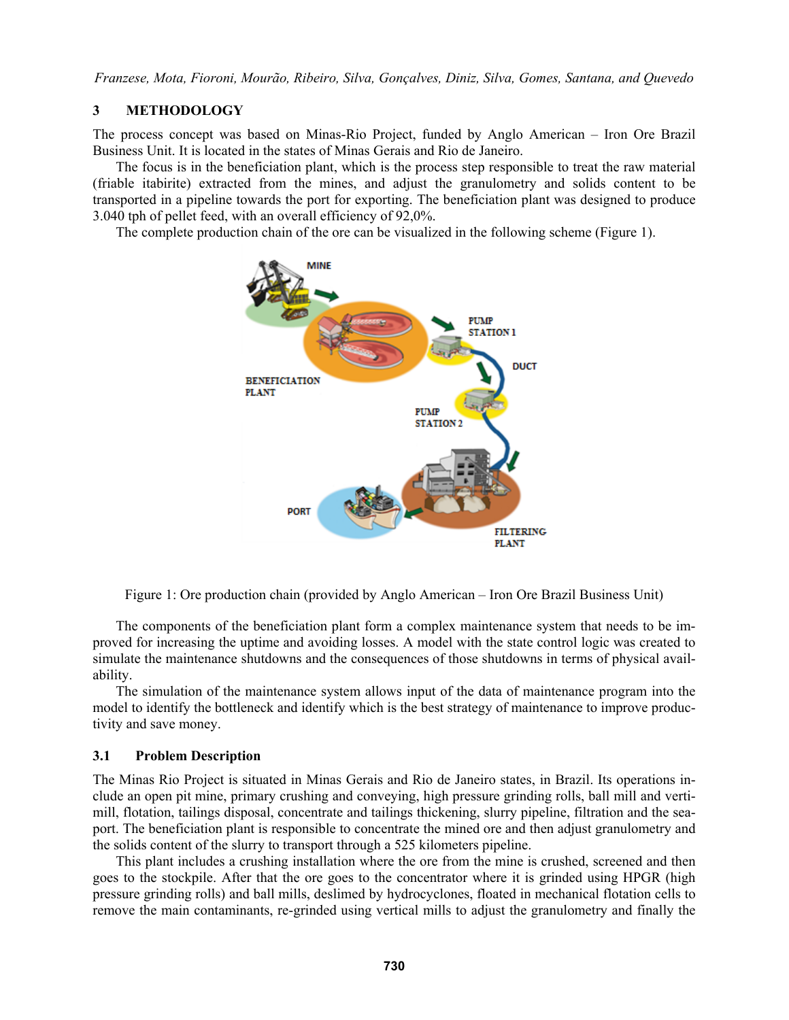## **3 METHODOLOGY**

The process concept was based on Minas-Rio Project, funded by Anglo American – Iron Ore Brazil Business Unit. It is located in the states of Minas Gerais and Rio de Janeiro.

 The focus is in the beneficiation plant, which is the process step responsible to treat the raw material (friable itabirite) extracted from the mines, and adjust the granulometry and solids content to be transported in a pipeline towards the port for exporting. The beneficiation plant was designed to produce 3.040 tph of pellet feed, with an overall efficiency of 92,0%.

The complete production chain of the ore can be visualized in the following scheme (Figure 1).



Figure 1: Ore production chain (provided by Anglo American – Iron Ore Brazil Business Unit)

 The components of the beneficiation plant form a complex maintenance system that needs to be improved for increasing the uptime and avoiding losses. A model with the state control logic was created to simulate the maintenance shutdowns and the consequences of those shutdowns in terms of physical availability.

The simulation of the maintenance system allows input of the data of maintenance program into the model to identify the bottleneck and identify which is the best strategy of maintenance to improve productivity and save money.

#### **3.1 Problem Description**

The Minas Rio Project is situated in Minas Gerais and Rio de Janeiro states, in Brazil. Its operations include an open pit mine, primary crushing and conveying, high pressure grinding rolls, ball mill and vertimill, flotation, tailings disposal, concentrate and tailings thickening, slurry pipeline, filtration and the seaport. The beneficiation plant is responsible to concentrate the mined ore and then adjust granulometry and the solids content of the slurry to transport through a 525 kilometers pipeline.

This plant includes a crushing installation where the ore from the mine is crushed, screened and then goes to the stockpile. After that the ore goes to the concentrator where it is grinded using HPGR (high pressure grinding rolls) and ball mills, deslimed by hydrocyclones, floated in mechanical flotation cells to remove the main contaminants, re-grinded using vertical mills to adjust the granulometry and finally the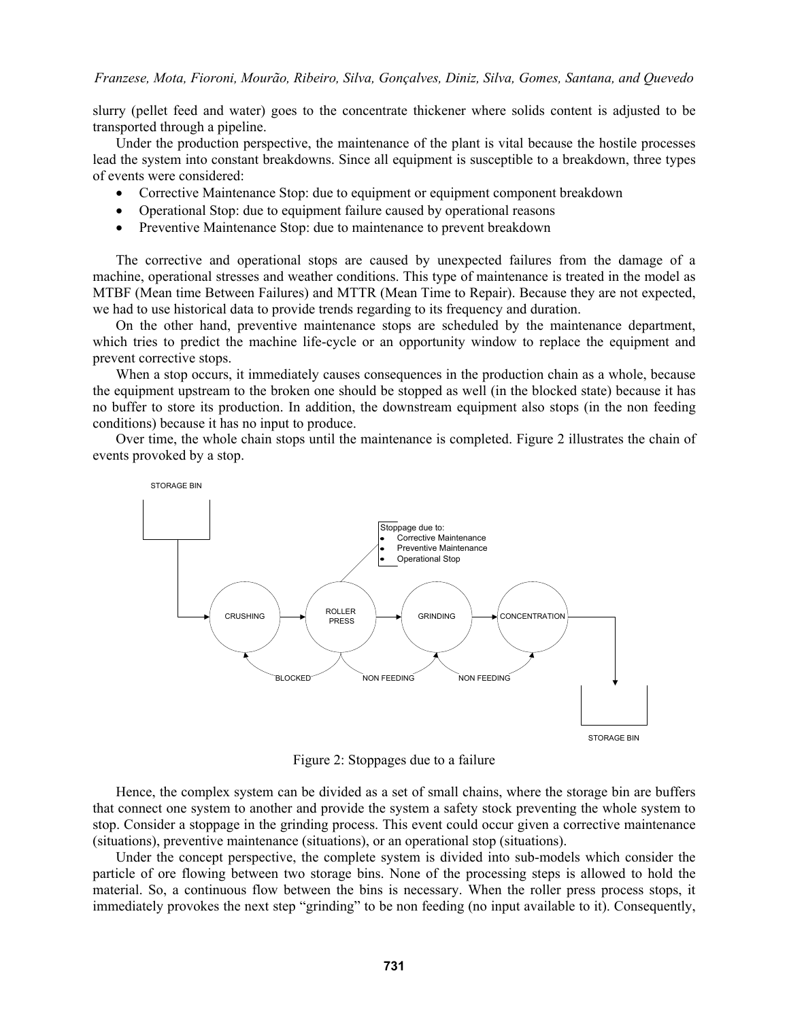slurry (pellet feed and water) goes to the concentrate thickener where solids content is adjusted to be transported through a pipeline.

 Under the production perspective, the maintenance of the plant is vital because the hostile processes lead the system into constant breakdowns. Since all equipment is susceptible to a breakdown, three types of events were considered:

- Corrective Maintenance Stop: due to equipment or equipment component breakdown
- Operational Stop: due to equipment failure caused by operational reasons
- Preventive Maintenance Stop: due to maintenance to prevent breakdown

 The corrective and operational stops are caused by unexpected failures from the damage of a machine, operational stresses and weather conditions. This type of maintenance is treated in the model as MTBF (Mean time Between Failures) and MTTR (Mean Time to Repair). Because they are not expected, we had to use historical data to provide trends regarding to its frequency and duration.

 On the other hand, preventive maintenance stops are scheduled by the maintenance department, which tries to predict the machine life-cycle or an opportunity window to replace the equipment and prevent corrective stops.

 When a stop occurs, it immediately causes consequences in the production chain as a whole, because the equipment upstream to the broken one should be stopped as well (in the blocked state) because it has no buffer to store its production. In addition, the downstream equipment also stops (in the non feeding conditions) because it has no input to produce.

 Over time, the whole chain stops until the maintenance is completed. Figure 2 illustrates the chain of events provoked by a stop.



Figure 2: Stoppages due to a failure

Hence, the complex system can be divided as a set of small chains, where the storage bin are buffers that connect one system to another and provide the system a safety stock preventing the whole system to stop. Consider a stoppage in the grinding process. This event could occur given a corrective maintenance (situations), preventive maintenance (situations), or an operational stop (situations).

Under the concept perspective, the complete system is divided into sub-models which consider the particle of ore flowing between two storage bins. None of the processing steps is allowed to hold the material. So, a continuous flow between the bins is necessary. When the roller press process stops, it immediately provokes the next step "grinding" to be non feeding (no input available to it). Consequently,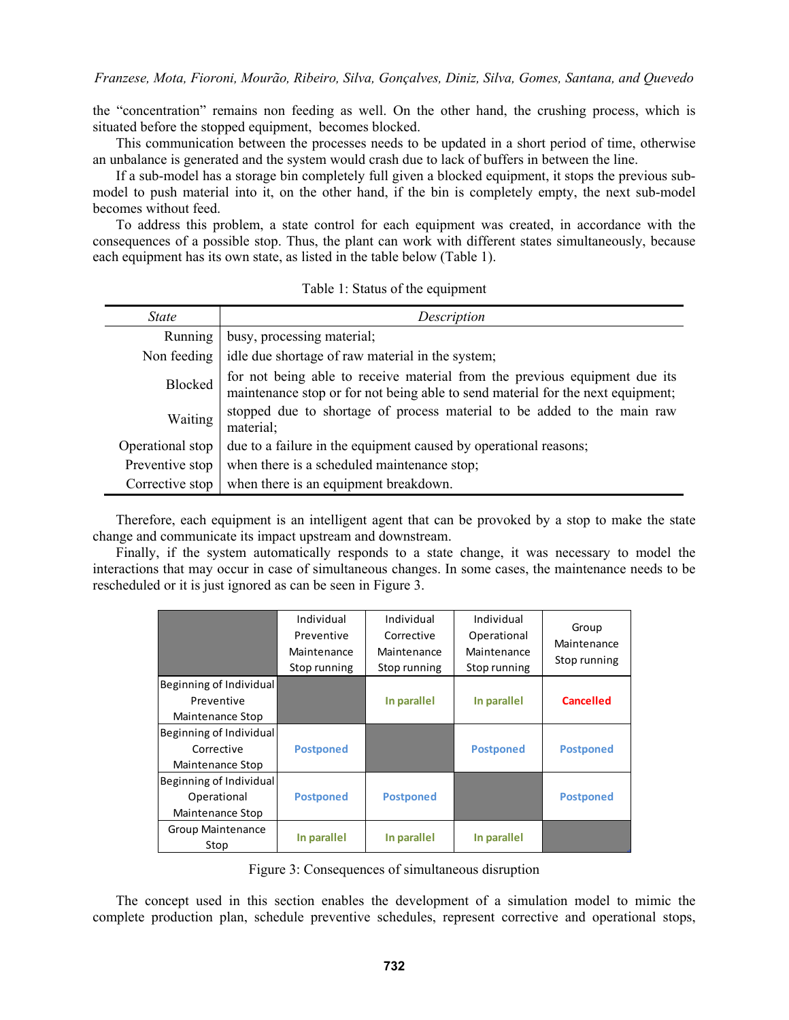the "concentration" remains non feeding as well. On the other hand, the crushing process, which is situated before the stopped equipment, becomes blocked.

This communication between the processes needs to be updated in a short period of time, otherwise an unbalance is generated and the system would crash due to lack of buffers in between the line.

If a sub-model has a storage bin completely full given a blocked equipment, it stops the previous submodel to push material into it, on the other hand, if the bin is completely empty, the next sub-model becomes without feed.

 To address this problem, a state control for each equipment was created, in accordance with the consequences of a possible stop. Thus, the plant can work with different states simultaneously, because each equipment has its own state, as listed in the table below (Table 1).

| <i>State</i>     | Description                                                                                                                                                   |
|------------------|---------------------------------------------------------------------------------------------------------------------------------------------------------------|
| Running          | busy, processing material;                                                                                                                                    |
| Non feeding      | idle due shortage of raw material in the system;                                                                                                              |
| Blocked          | for not being able to receive material from the previous equipment due its<br>maintenance stop or for not being able to send material for the next equipment; |
| Waiting          | stopped due to shortage of process material to be added to the main raw<br>material:                                                                          |
| Operational stop | due to a failure in the equipment caused by operational reasons;                                                                                              |
| Preventive stop  | when there is a scheduled maintenance stop;                                                                                                                   |
| Corrective stop  | when there is an equipment breakdown.                                                                                                                         |

Table 1: Status of the equipment

 Therefore, each equipment is an intelligent agent that can be provoked by a stop to make the state change and communicate its impact upstream and downstream.

 Finally, if the system automatically responds to a state change, it was necessary to model the interactions that may occur in case of simultaneous changes. In some cases, the maintenance needs to be rescheduled or it is just ignored as can be seen in Figure 3.

|                                                            | Individual<br>Preventive<br>Maintenance<br>Stop running | Individual<br>Corrective<br>Maintenance<br>Stop running | Individual<br>Operational<br>Maintenance<br>Stop running | Group<br>Maintenance<br>Stop running |
|------------------------------------------------------------|---------------------------------------------------------|---------------------------------------------------------|----------------------------------------------------------|--------------------------------------|
| Beginning of Individual<br>Preventive<br>Maintenance Stop  |                                                         | In parallel                                             | In parallel                                              | <b>Cancelled</b>                     |
| Beginning of Individual<br>Corrective<br>Maintenance Stop  | <b>Postponed</b>                                        |                                                         | <b>Postponed</b>                                         | <b>Postponed</b>                     |
| Beginning of Individual<br>Operational<br>Maintenance Stop | <b>Postponed</b>                                        | <b>Postponed</b>                                        |                                                          | <b>Postponed</b>                     |
| Group Maintenance<br>Stop                                  | In parallel                                             | In parallel                                             | In parallel                                              |                                      |

Figure 3: Consequences of simultaneous disruption

The concept used in this section enables the development of a simulation model to mimic the complete production plan, schedule preventive schedules, represent corrective and operational stops,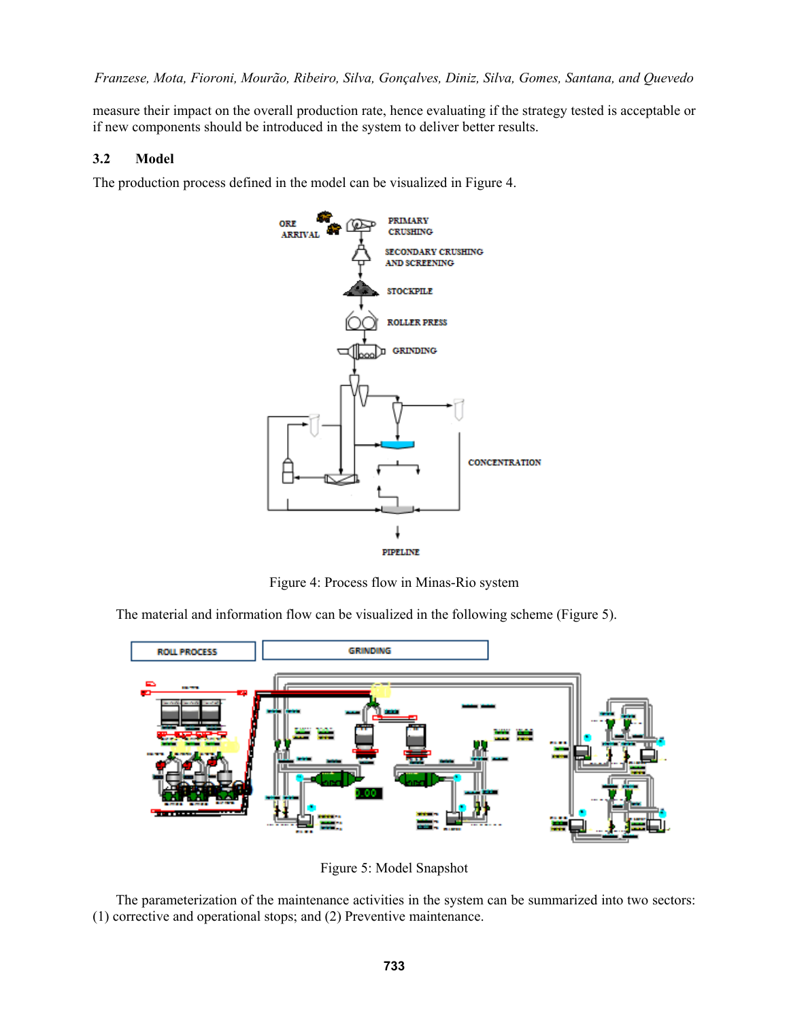measure their impact on the overall production rate, hence evaluating if the strategy tested is acceptable or if new components should be introduced in the system to deliver better results.

# **3.2 Model**

The production process defined in the model can be visualized in Figure 4.



Figure 4: Process flow in Minas-Rio system

The material and information flow can be visualized in the following scheme (Figure 5).



Figure 5: Model Snapshot

 The parameterization of the maintenance activities in the system can be summarized into two sectors: (1) corrective and operational stops; and (2) Preventive maintenance.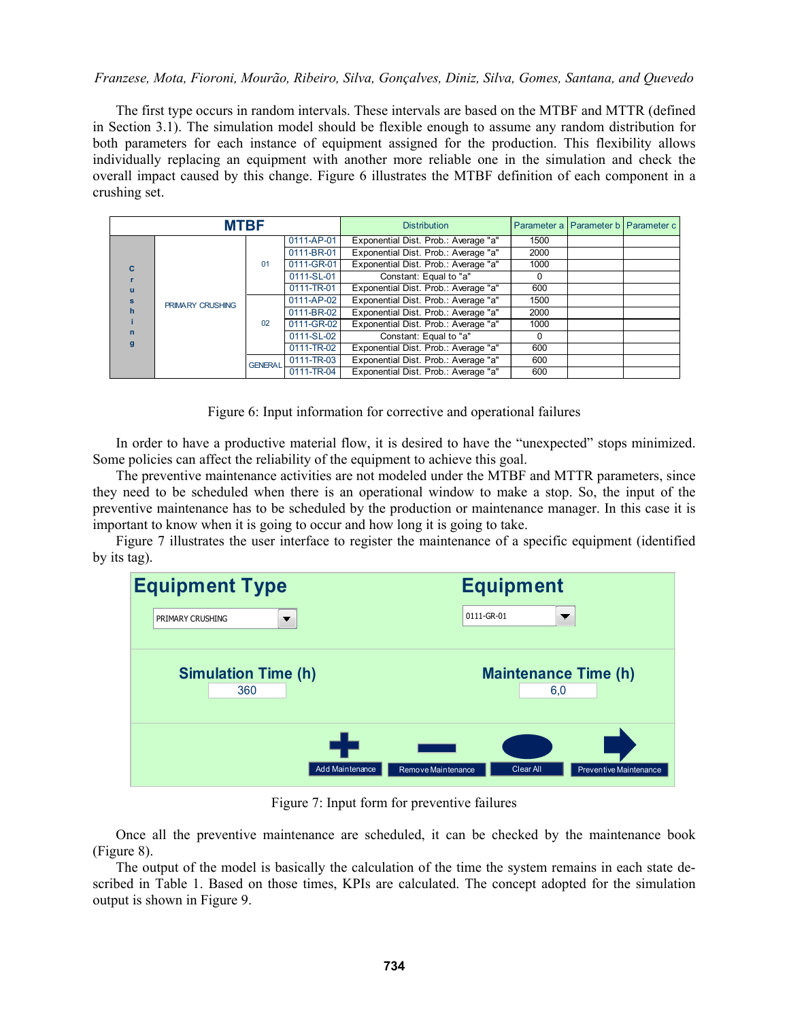The first type occurs in random intervals. These intervals are based on the MTBF and MTTR (defined in Section 3.1). The simulation model should be flexible enough to assume any random distribution for both parameters for each instance of equipment assigned for the production. This flexibility allows individually replacing an equipment with another more reliable one in the simulation and check the overall impact caused by this change. Figure 6 illustrates the MTBF definition of each component in a crushing set.

| <b>MTBF</b>       |                         |                |            | <b>Distribution</b>                  |      | Parameter a Parameter b Parameter c |
|-------------------|-------------------------|----------------|------------|--------------------------------------|------|-------------------------------------|
|                   |                         |                | 0111-AP-01 | Exponential Dist. Prob.: Average "a" | 1500 |                                     |
|                   |                         |                | 0111-BR-01 | Exponential Dist. Prob.: Average "a" | 2000 |                                     |
| C.                |                         | 01             | 0111-GR-01 | Exponential Dist. Prob.: Average "a" | 1000 |                                     |
|                   |                         |                | 0111-SL-01 | Constant: Equal to "a"               | 0    |                                     |
| u                 |                         |                | 0111-TR-01 | Exponential Dist. Prob.: Average "a" | 600  |                                     |
| s                 | <b>PRIMARY CRUSHING</b> | 02             | 0111-AP-02 | Exponential Dist. Prob.: Average "a" | 1500 |                                     |
| $\mathbf{h}$      |                         |                | 0111-BR-02 | Exponential Dist. Prob.: Average "a" | 2000 |                                     |
| $\mathsf{n}$<br>q |                         |                | 0111-GR-02 | Exponential Dist. Prob.: Average "a" | 1000 |                                     |
|                   |                         |                | 0111-SL-02 | Constant: Equal to "a"               | 0    |                                     |
|                   |                         |                | 0111-TR-02 | Exponential Dist. Prob.: Average "a" | 600  |                                     |
|                   |                         | <b>GENERAL</b> | 0111-TR-03 | Exponential Dist. Prob.: Average "a" | 600  |                                     |
|                   |                         |                | 0111-TR-04 | Exponential Dist. Prob.: Average "a" | 600  |                                     |

Figure 6: Input information for corrective and operational failures

In order to have a productive material flow, it is desired to have the "unexpected" stops minimized. Some policies can affect the reliability of the equipment to achieve this goal.

The preventive maintenance activities are not modeled under the MTBF and MTTR parameters, since they need to be scheduled when there is an operational window to make a stop. So, the input of the preventive maintenance has to be scheduled by the production or maintenance manager. In this case it is important to know when it is going to occur and how long it is going to take.

Figure 7 illustrates the user interface to register the maintenance of a specific equipment (identified by its tag).



Figure 7: Input form for preventive failures

Once all the preventive maintenance are scheduled, it can be checked by the maintenance book (Figure 8).

The output of the model is basically the calculation of the time the system remains in each state described in Table 1. Based on those times, KPIs are calculated. The concept adopted for the simulation output is shown in Figure 9.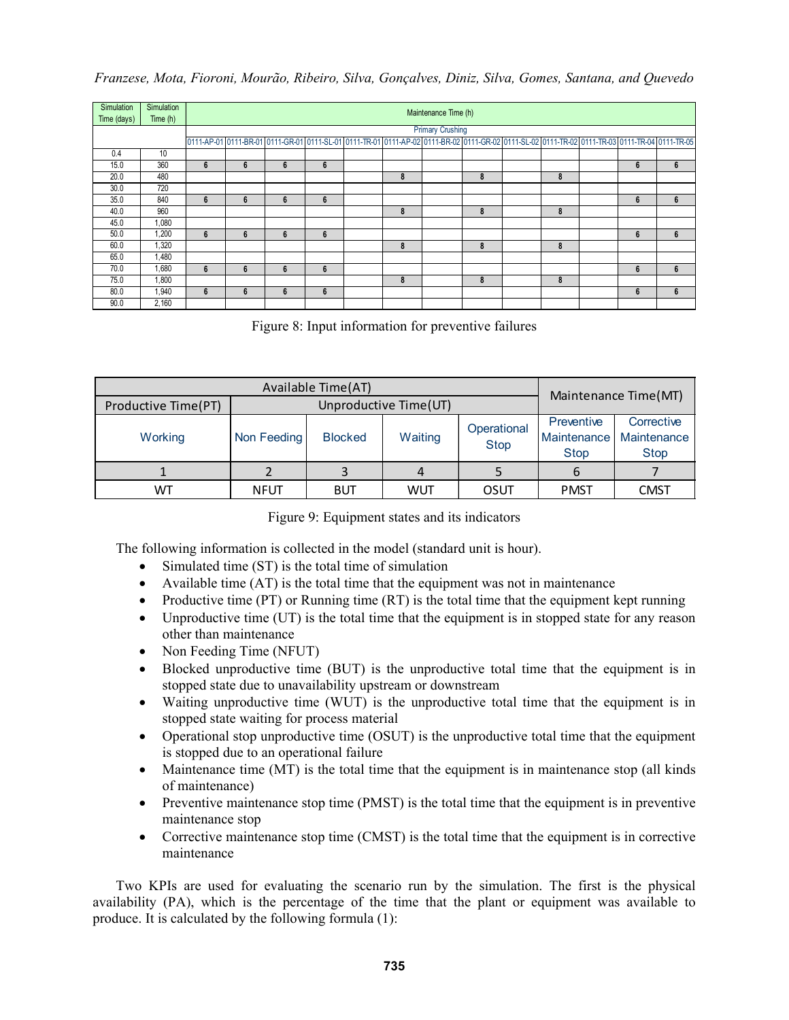| Simulation<br>Time (days) | Simulation<br>Time $(h)$ |   | Maintenance Time (h)    |   |   |  |   |  |                                                                                                                                                |  |   |  |   |   |
|---------------------------|--------------------------|---|-------------------------|---|---|--|---|--|------------------------------------------------------------------------------------------------------------------------------------------------|--|---|--|---|---|
|                           |                          |   | <b>Primary Crushing</b> |   |   |  |   |  |                                                                                                                                                |  |   |  |   |   |
|                           |                          |   |                         |   |   |  |   |  | 0111-AP-01 0111-BR-01 0111-GR-01 0111-SL-01 0111-TR-01 0111-AP-02 0111-BR-02 0111-GR-02 0111-SL-02 0111-TR-02 0111-TR-03 0111-TR-04 0111-TR-05 |  |   |  |   |   |
| 0.4                       | 10                       |   |                         |   |   |  |   |  |                                                                                                                                                |  |   |  |   |   |
| 15.0                      | 360                      | 6 | 6                       | 6 | 6 |  |   |  |                                                                                                                                                |  |   |  | 6 | 6 |
| 20.0                      | 480                      |   |                         |   |   |  | 8 |  | 8                                                                                                                                              |  | 8 |  |   |   |
| 30.0                      | 720                      |   |                         |   |   |  |   |  |                                                                                                                                                |  |   |  |   |   |
| 35.0                      | 840                      | 6 | 6                       | 6 | 6 |  |   |  |                                                                                                                                                |  |   |  | 6 | 6 |
| 40.0                      | 960                      |   |                         |   |   |  | 8 |  | 8                                                                                                                                              |  | 8 |  |   |   |
| 45.0                      | 1,080                    |   |                         |   |   |  |   |  |                                                                                                                                                |  |   |  |   |   |
| 50.0                      | 1,200                    | 6 | 6                       | 6 | 6 |  |   |  |                                                                                                                                                |  |   |  | 6 | 6 |
| 60.0                      | 1,320                    |   |                         |   |   |  | 8 |  | 8                                                                                                                                              |  | 8 |  |   |   |
| 65.0                      | 1,480                    |   |                         |   |   |  |   |  |                                                                                                                                                |  |   |  |   |   |
| 70.0                      | 1,680                    | 6 | 6                       | 6 | 6 |  |   |  |                                                                                                                                                |  |   |  | 6 | 6 |
| 75.0                      | 1,800                    |   |                         |   |   |  | 8 |  | 8                                                                                                                                              |  | 8 |  |   |   |
| 80.0                      | 1,940                    | 6 | 6                       | 6 | 6 |  |   |  |                                                                                                                                                |  |   |  | 6 | 6 |
| 90.0                      | 2,160                    |   |                         |   |   |  |   |  |                                                                                                                                                |  |   |  |   |   |

Figure 8: Input information for preventive failures

|                     | Maintenance Time (MT) |                       |         |                            |                           |                                                        |
|---------------------|-----------------------|-----------------------|---------|----------------------------|---------------------------|--------------------------------------------------------|
| Productive Time(PT) |                       | Unproductive Time(UT) |         |                            |                           |                                                        |
| Working             | Non Feeding           | <b>Blocked</b>        | Waiting | Operational<br><b>Stop</b> | Preventive<br><b>Stop</b> | Corrective<br>Maintenance   Maintenance<br><b>Stop</b> |
|                     |                       |                       | 4       |                            | 6                         |                                                        |
| WТ                  | NFUT                  | BUT                   | WUT     | OSUT                       | <b>PMST</b>               | <b>CMST</b>                                            |

| Figure 9: Equipment states and its indicators |  |  |
|-----------------------------------------------|--|--|
|                                               |  |  |

The following information is collected in the model (standard unit is hour).

- Simulated time (ST) is the total time of simulation
- Available time (AT) is the total time that the equipment was not in maintenance
- Productive time  $(PT)$  or Running time  $(RT)$  is the total time that the equipment kept running
- Unproductive time (UT) is the total time that the equipment is in stopped state for any reason other than maintenance
- Non Feeding Time (NFUT)
- Blocked unproductive time (BUT) is the unproductive total time that the equipment is in stopped state due to unavailability upstream or downstream
- Waiting unproductive time (WUT) is the unproductive total time that the equipment is in stopped state waiting for process material
- Operational stop unproductive time (OSUT) is the unproductive total time that the equipment is stopped due to an operational failure
- Maintenance time (MT) is the total time that the equipment is in maintenance stop (all kinds of maintenance)
- Preventive maintenance stop time (PMST) is the total time that the equipment is in preventive maintenance stop
- Corrective maintenance stop time (CMST) is the total time that the equipment is in corrective maintenance

Two KPIs are used for evaluating the scenario run by the simulation. The first is the physical availability (PA), which is the percentage of the time that the plant or equipment was available to produce. It is calculated by the following formula (1):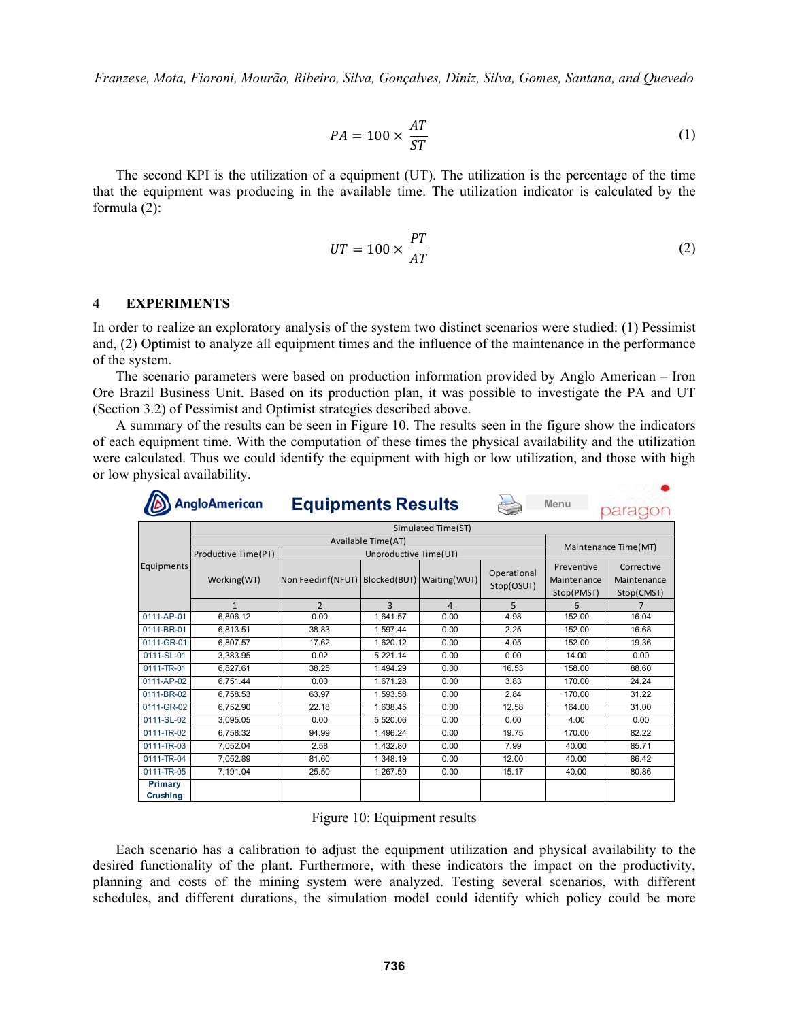$$
PA = 100 \times \frac{AT}{ST}
$$
 (1)

The second KPI is the utilization of a equipment (UT). The utilization is the percentage of the time that the equipment was producing in the available time. The utilization indicator is calculated by the formula (2):

$$
UT = 100 \times \frac{PT}{AT}
$$
 (2)

#### **4 EXPERIMENTS**

In order to realize an exploratory analysis of the system two distinct scenarios were studied: (1) Pessimist and, (2) Optimist to analyze all equipment times and the influence of the maintenance in the performance of the system.

 The scenario parameters were based on production information provided by Anglo American – Iron Ore Brazil Business Unit. Based on its production plan, it was possible to investigate the PA and UT (Section 3.2) of Pessimist and Optimist strategies described above.

 A summary of the results can be seen in Figure 10. The results seen in the figure show the indicators of each equipment time. With the computation of these times the physical availability and the utilization were calculated. Thus we could identify the equipment with high or low utilization, and those with high or low physical availability.

|                                   | <b>AngloAmerican</b> | <b>Equipments Results</b>                   |                       |                |                           | Menu                                    | parac                                   |
|-----------------------------------|----------------------|---------------------------------------------|-----------------------|----------------|---------------------------|-----------------------------------------|-----------------------------------------|
|                                   |                      |                                             |                       |                |                           |                                         |                                         |
|                                   |                      |                                             | Available Time(AT)    |                |                           |                                         | Maintenance Time(MT)                    |
|                                   | Productive Time(PT)  |                                             | Unproductive Time(UT) |                |                           |                                         |                                         |
| Equipments                        | Working(WT)          | Non Feedinf(NFUT) Blocked(BUT) Waiting(WUT) |                       |                | Operational<br>Stop(OSUT) | Preventive<br>Maintenance<br>Stop(PMST) | Corrective<br>Maintenance<br>Stop(CMST) |
|                                   | $\mathbf{1}$         | $\overline{2}$                              | 3                     | $\overline{4}$ | 5                         | 6                                       | 7                                       |
| 0111-AP-01                        | 6.806.12             | 0.00                                        | 1.641.57              | 0.00           | 4.98                      | 152.00                                  | 16.04                                   |
| 0111-BR-01                        | 6.813.51             | 38.83                                       | 1.597.44              | 0.00           | 2.25                      | 152.00                                  | 16.68                                   |
| 0111-GR-01                        | 6.807.57             | 17.62                                       | 1.620.12              | 0.00           | 4.05                      | 152.00                                  | 19.36                                   |
| 0111-SL-01                        | 3.383.95             | 0.02                                        | 5.221.14              | 0.00           | 0.00                      | 14.00                                   | 0.00                                    |
| 0111-TR-01                        | 6.827.61             | 38.25                                       | 1.494.29              | 0.00           | 16.53                     | 158.00                                  | 88.60                                   |
| 0111-AP-02                        | 6.751.44             | 0.00                                        | 1.671.28              | 0.00           | 3.83                      | 170.00                                  | 24.24                                   |
| 0111-BR-02                        | 6,758.53             | 63.97                                       | 1,593.58              | 0.00           | 2.84                      | 170.00                                  | 31.22                                   |
| 0111-GR-02                        | 6,752.90             | 22.18                                       | 1,638.45              | 0.00           | 12.58                     | 164.00                                  | 31.00                                   |
| 0111-SL-02                        | 3.095.05             | 0.00                                        | 5.520.06              | 0.00           | 0.00                      | 4.00                                    | 0.00                                    |
| 0111-TR-02                        | 6.758.32             | 94.99                                       | 1.496.24              | 0.00           | 19.75                     | 170.00                                  | 82.22                                   |
| 0111-TR-03                        | 7.052.04             | 2.58                                        | 1.432.80              | 0.00           | 7.99                      | 40.00                                   | 85.71                                   |
| 0111-TR-04                        | 7.052.89             | 81.60                                       | 1.348.19              | 0.00           | 12.00                     | 40.00                                   | 86.42                                   |
| 0111-TR-05                        | 7.191.04             | 25.50                                       | 1,267.59              | 0.00           | 15.17                     | 40.00                                   | 80.86                                   |
| <b>Primary</b><br><b>Crushing</b> |                      |                                             |                       |                |                           |                                         |                                         |

Figure 10: Equipment results

Each scenario has a calibration to adjust the equipment utilization and physical availability to the desired functionality of the plant. Furthermore, with these indicators the impact on the productivity, planning and costs of the mining system were analyzed. Testing several scenarios, with different schedules, and different durations, the simulation model could identify which policy could be more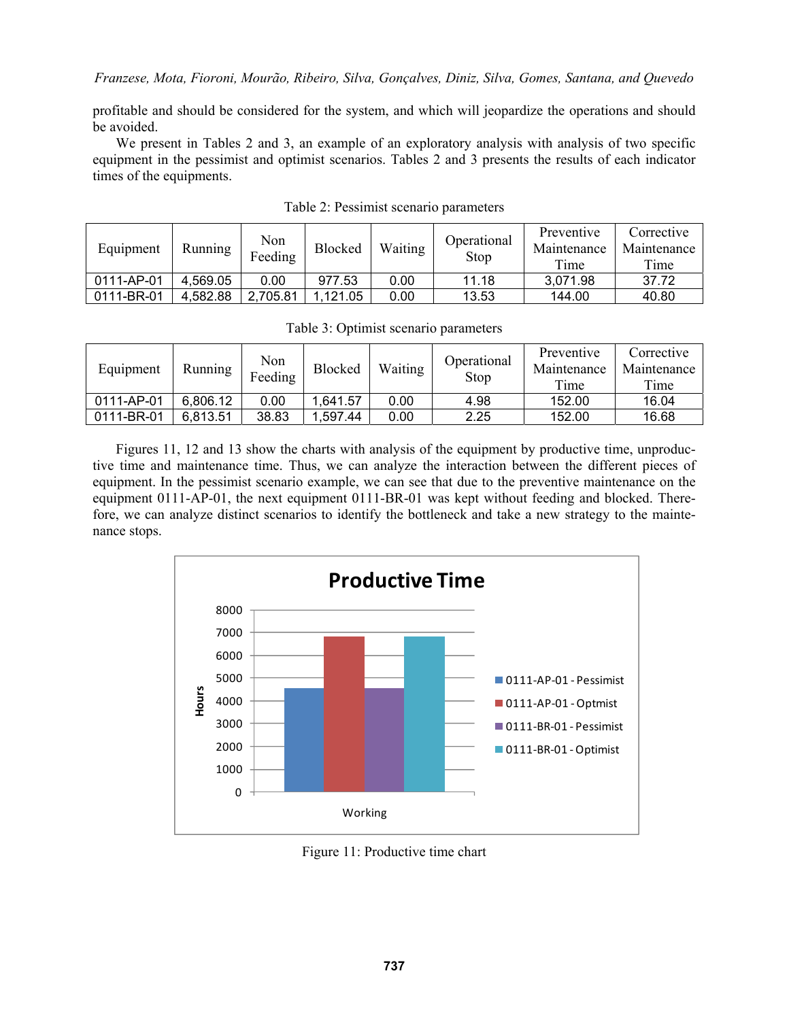profitable and should be considered for the system, and which will jeopardize the operations and should be avoided.

 We present in Tables 2 and 3, an example of an exploratory analysis with analysis of two specific equipment in the pessimist and optimist scenarios. Tables 2 and 3 presents the results of each indicator times of the equipments.

| Equipment  | Running  | Non<br>Feeding | <b>Blocked</b> | Waiting | Operational<br>Stop | Preventive<br>Maintenance<br>Time | Corrective<br>Maintenance<br>Time |
|------------|----------|----------------|----------------|---------|---------------------|-----------------------------------|-----------------------------------|
| 0111-AP-01 | 4,569.05 | 0.00           | 977.53         | 0.00    | 11.18               | 3,071.98                          | 37.72                             |
| 0111-BR-01 | 4,582.88 | 2,705.81       | .121.05        | 0.00    | 13.53               | 144.00                            | 40.80                             |

Table 2: Pessimist scenario parameters

| Equipment  | Running  | Non<br>Feeding | Blocked | Waiting | Operational<br>Stop | Preventive<br>Maintenance<br>Time | Corrective<br>Maintenance<br>Time |
|------------|----------|----------------|---------|---------|---------------------|-----------------------------------|-----------------------------------|
| 0111-AP-01 | 6,806.12 | 0.00           | .641.57 | 0.00    | 4.98                | 152.00                            | 16.04                             |
| 0111-BR-01 | 6,813.51 | 38.83          | .597.44 | 0.00    | 2.25                | 152.00                            | 16.68                             |

Table 3: Optimist scenario parameters

Figures 11, 12 and 13 show the charts with analysis of the equipment by productive time, unproductive time and maintenance time. Thus, we can analyze the interaction between the different pieces of equipment. In the pessimist scenario example, we can see that due to the preventive maintenance on the equipment 0111-AP-01, the next equipment 0111-BR-01 was kept without feeding and blocked. Therefore, we can analyze distinct scenarios to identify the bottleneck and take a new strategy to the maintenance stops.



Figure 11: Productive time chart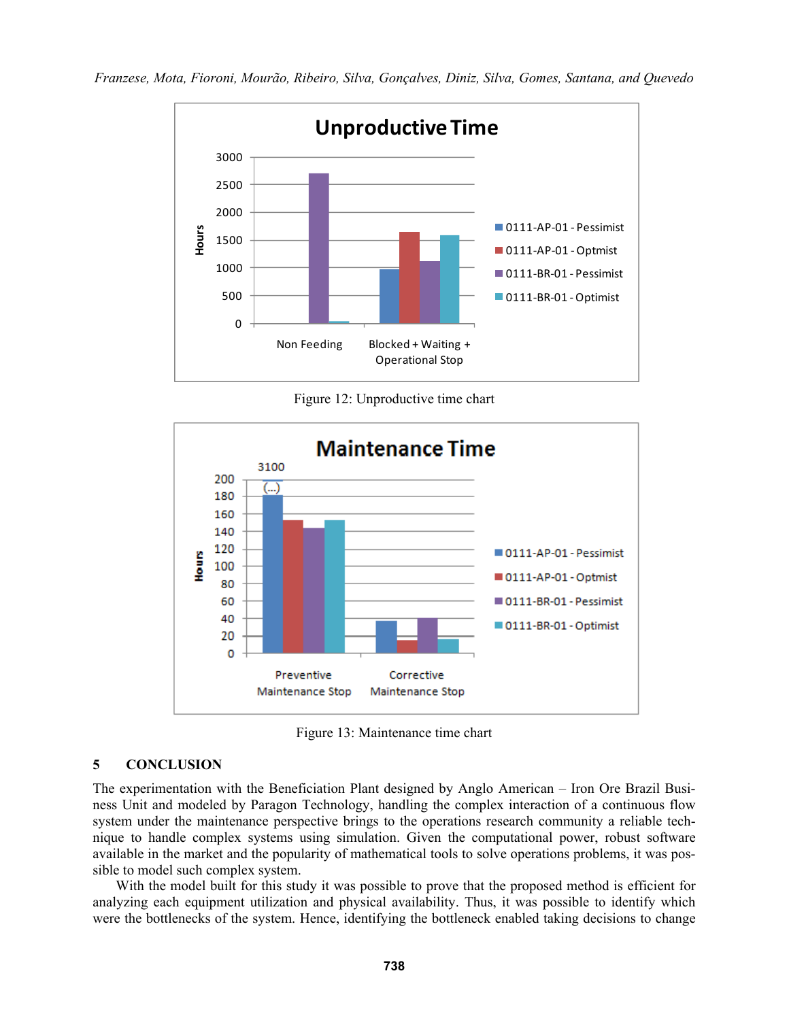

Figure 12: Unproductive time chart



Figure 13: Maintenance time chart

## **5 CONCLUSION**

The experimentation with the Beneficiation Plant designed by Anglo American – Iron Ore Brazil Business Unit and modeled by Paragon Technology, handling the complex interaction of a continuous flow system under the maintenance perspective brings to the operations research community a reliable technique to handle complex systems using simulation. Given the computational power, robust software available in the market and the popularity of mathematical tools to solve operations problems, it was possible to model such complex system.

With the model built for this study it was possible to prove that the proposed method is efficient for analyzing each equipment utilization and physical availability. Thus, it was possible to identify which were the bottlenecks of the system. Hence, identifying the bottleneck enabled taking decisions to change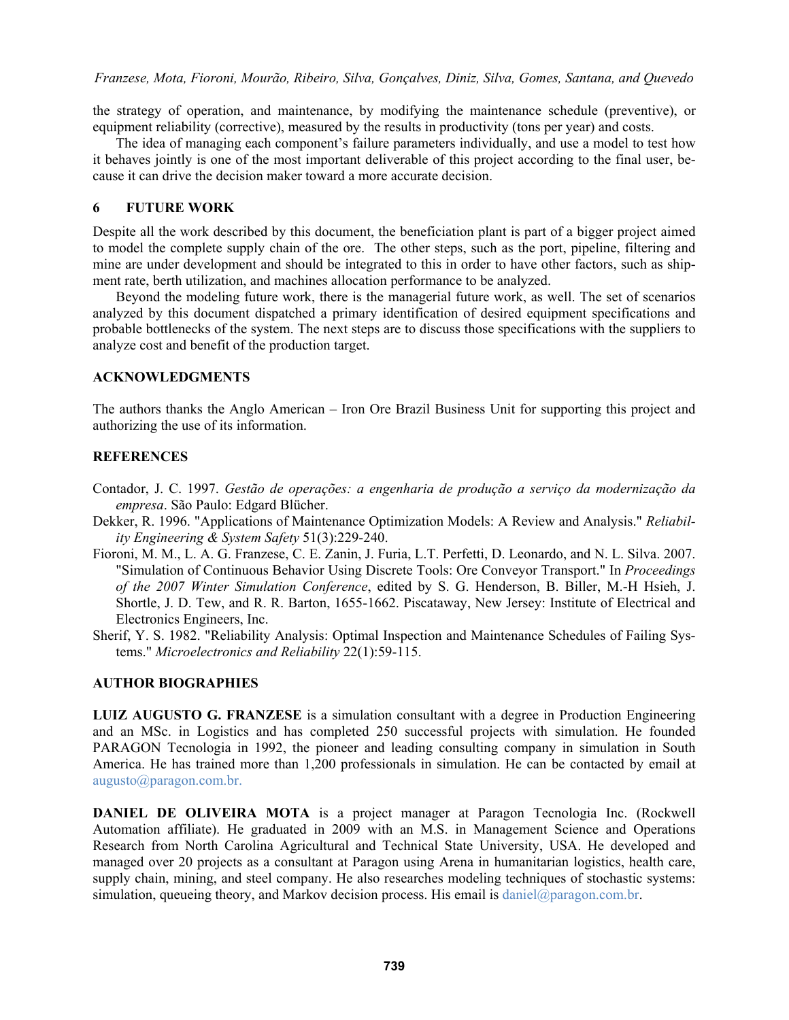the strategy of operation, and maintenance, by modifying the maintenance schedule (preventive), or equipment reliability (corrective), measured by the results in productivity (tons per year) and costs.

The idea of managing each component's failure parameters individually, and use a model to test how it behaves jointly is one of the most important deliverable of this project according to the final user, because it can drive the decision maker toward a more accurate decision.

## **6 FUTURE WORK**

Despite all the work described by this document, the beneficiation plant is part of a bigger project aimed to model the complete supply chain of the ore. The other steps, such as the port, pipeline, filtering and mine are under development and should be integrated to this in order to have other factors, such as shipment rate, berth utilization, and machines allocation performance to be analyzed.

 Beyond the modeling future work, there is the managerial future work, as well. The set of scenarios analyzed by this document dispatched a primary identification of desired equipment specifications and probable bottlenecks of the system. The next steps are to discuss those specifications with the suppliers to analyze cost and benefit of the production target.

### **ACKNOWLEDGMENTS**

The authors thanks the Anglo American – Iron Ore Brazil Business Unit for supporting this project and authorizing the use of its information.

# **REFERENCES**

- Contador, J. C. 1997. *Gestão de operações: a engenharia de produção a serviço da modernização da empresa*. São Paulo: Edgard Blücher.
- Dekker, R. 1996. "Applications of Maintenance Optimization Models: A Review and Analysis." *Reliability Engineering & System Safety* 51(3):229-240.
- Fioroni, M. M., L. A. G. Franzese, C. E. Zanin, J. Furia, L.T. Perfetti, D. Leonardo, and N. L. Silva. 2007. "Simulation of Continuous Behavior Using Discrete Tools: Ore Conveyor Transport." In *Proceedings of the 2007 Winter Simulation Conference*, edited by S. G. Henderson, B. Biller, M.-H Hsieh, J. Shortle, J. D. Tew, and R. R. Barton, 1655-1662. Piscataway, New Jersey: Institute of Electrical and Electronics Engineers, Inc.
- Sherif, Y. S. 1982. "Reliability Analysis: Optimal Inspection and Maintenance Schedules of Failing Systems." *Microelectronics and Reliability* 22(1):59-115.

# **AUTHOR BIOGRAPHIES**

**LUIZ AUGUSTO G. FRANZESE** is a simulation consultant with a degree in Production Engineering and an MSc. in Logistics and has completed 250 successful projects with simulation. He founded PARAGON Tecnologia in 1992, the pioneer and leading consulting company in simulation in South America. He has trained more than 1,200 professionals in simulation. He can be contacted by email at augusto@paragon.com.br.

**DANIEL DE OLIVEIRA MOTA** is a project manager at Paragon Tecnologia Inc. (Rockwell Automation affiliate). He graduated in 2009 with an M.S. in Management Science and Operations Research from North Carolina Agricultural and Technical State University, USA. He developed and managed over 20 projects as a consultant at Paragon using Arena in humanitarian logistics, health care, supply chain, mining, and steel company. He also researches modeling techniques of stochastic systems: simulation, queueing theory, and Markov decision process. His email is daniel@paragon.com.br.